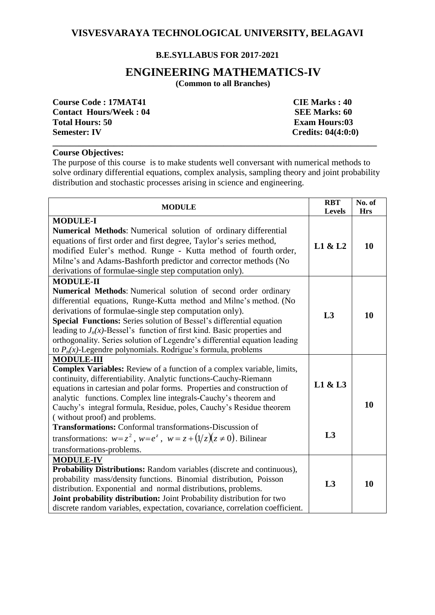## **VISVESVARAYA TECHNOLOGICAL UNIVERSITY, BELAGAVI**

### **B.E.SYLLABUS FOR 2017-2021**

# **ENGINEERING MATHEMATICS-IV**

 **(Common to all Branches)**

| <b>Course Code: 17MAT41</b>   | <b>CIE Marks: 40</b>                   |
|-------------------------------|----------------------------------------|
| <b>Contact Hours/Week: 04</b> | <b>SEE Marks: 60</b>                   |
| <b>Total Hours: 50</b>        | <b>Exam Hours:03</b>                   |
| <b>Semester: IV</b>           | <b>Credits: <math>04(4:0:0)</math></b> |
|                               |                                        |

#### **Course Objectives:**

The purpose of this course is to make students well conversant with numerical methods to solve ordinary differential equations, complex analysis, sampling theory and joint probability distribution and stochastic processes arising in science and engineering.

| <b>MODULE</b>                                                                                                                                                                                                                                                                                                                                                                                                                                                                                                             |         | No. of<br><b>Hrs</b> |
|---------------------------------------------------------------------------------------------------------------------------------------------------------------------------------------------------------------------------------------------------------------------------------------------------------------------------------------------------------------------------------------------------------------------------------------------------------------------------------------------------------------------------|---------|----------------------|
| <b>MODULE-I</b><br>Numerical Methods: Numerical solution of ordinary differential<br>equations of first order and first degree, Taylor's series method,<br>modified Euler's method. Runge - Kutta method of fourth order,<br>Milne's and Adams-Bashforth predictor and corrector methods (No<br>derivations of formulae-single step computation only).                                                                                                                                                                    | L1 & L2 | 10                   |
| <b>MODULE-II</b><br>Numerical Methods: Numerical solution of second order ordinary<br>differential equations, Runge-Kutta method and Milne's method. (No<br>derivations of formulae-single step computation only).<br>Special Functions: Series solution of Bessel's differential equation<br>leading to $J_n(x)$ -Bessel's function of first kind. Basic properties and<br>orthogonality. Series solution of Legendre's differential equation leading<br>to $P_n(x)$ -Legendre polynomials. Rodrigue's formula, problems | L3      | 10                   |
| <b>MODULE-III</b><br><b>Complex Variables:</b> Review of a function of a complex variable, limits,<br>continuity, differentiability. Analytic functions-Cauchy-Riemann<br>equations in cartesian and polar forms. Properties and construction of<br>analytic functions. Complex line integrals-Cauchy's theorem and<br>Cauchy's integral formula, Residue, poles, Cauchy's Residue theorem<br>(without proof) and problems.                                                                                               | L1 & L3 | 10                   |
| <b>Transformations:</b> Conformal transformations-Discussion of<br>transformations: $w=z^2$ , $w=e^z$ , $w=z+(1/z)(z\neq 0)$ . Bilinear<br>transformations-problems.                                                                                                                                                                                                                                                                                                                                                      | L3      |                      |
| <b>MODULE-IV</b><br><b>Probability Distributions:</b> Random variables (discrete and continuous),<br>probability mass/density functions. Binomial distribution, Poisson<br>distribution. Exponential and normal distributions, problems.<br>Joint probability distribution: Joint Probability distribution for two<br>discrete random variables, expectation, covariance, correlation coefficient.                                                                                                                        | L3      | 10                   |